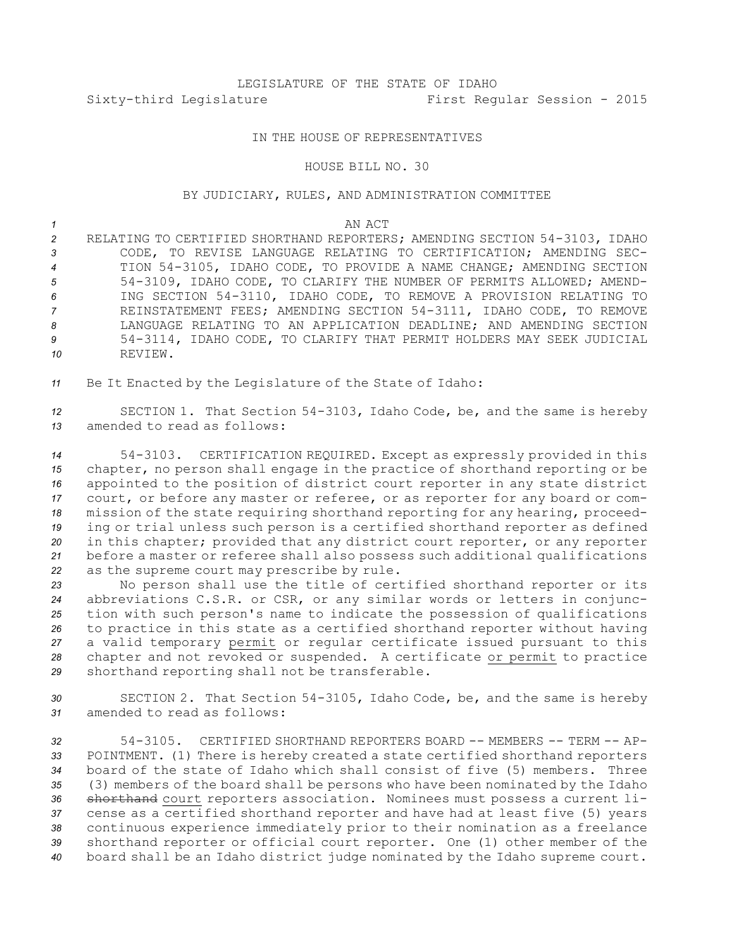## LEGISLATURE OF THE STATE OF IDAHO Sixty-third Legislature First Regular Session - 2015

## IN THE HOUSE OF REPRESENTATIVES

## HOUSE BILL NO. 30

## BY JUDICIARY, RULES, AND ADMINISTRATION COMMITTEE

*1* AN ACT

 RELATING TO CERTIFIED SHORTHAND REPORTERS; AMENDING SECTION 54-3103, IDAHO CODE, TO REVISE LANGUAGE RELATING TO CERTIFICATION; AMENDING SEC- TION 54-3105, IDAHO CODE, TO PROVIDE A NAME CHANGE; AMENDING SECTION 54-3109, IDAHO CODE, TO CLARIFY THE NUMBER OF PERMITS ALLOWED; AMEND- ING SECTION 54-3110, IDAHO CODE, TO REMOVE A PROVISION RELATING TO REINSTATEMENT FEES; AMENDING SECTION 54-3111, IDAHO CODE, TO REMOVE LANGUAGE RELATING TO AN APPLICATION DEADLINE; AND AMENDING SECTION 54-3114, IDAHO CODE, TO CLARIFY THAT PERMIT HOLDERS MAY SEEK JUDICIAL *10* REVIEW.

*<sup>11</sup>* Be It Enacted by the Legislature of the State of Idaho:

*<sup>12</sup>* SECTION 1. That Section 54-3103, Idaho Code, be, and the same is hereby *13* amended to read as follows:

 54-3103. CERTIFICATION REQUIRED. Except as expressly provided in this chapter, no person shall engage in the practice of shorthand reporting or be appointed to the position of district court reporter in any state district court, or before any master or referee, or as reporter for any board or com- mission of the state requiring shorthand reporting for any hearing, proceed- ing or trial unless such person is <sup>a</sup> certified shorthand reporter as defined in this chapter; provided that any district court reporter, or any reporter before <sup>a</sup> master or referee shall also possess such additional qualifications as the supreme court may prescribe by rule.

 No person shall use the title of certified shorthand reporter or its abbreviations C.S.R. or CSR, or any similar words or letters in conjunc- tion with such person's name to indicate the possession of qualifications to practice in this state as <sup>a</sup> certified shorthand reporter without having <sup>a</sup> valid temporary permit or regular certificate issued pursuant to this chapter and not revoked or suspended. <sup>A</sup> certificate or permit to practice shorthand reporting shall not be transferable.

*<sup>30</sup>* SECTION 2. That Section 54-3105, Idaho Code, be, and the same is hereby *31* amended to read as follows:

 54-3105. CERTIFIED SHORTHAND REPORTERS BOARD -- MEMBERS -- TERM -- AP- POINTMENT. (1) There is hereby created <sup>a</sup> state certified shorthand reporters board of the state of Idaho which shall consist of five (5) members. Three (3) members of the board shall be persons who have been nominated by the Idaho shorthand court reporters association. Nominees must possess <sup>a</sup> current li- cense as <sup>a</sup> certified shorthand reporter and have had at least five (5) years continuous experience immediately prior to their nomination as <sup>a</sup> freelance shorthand reporter or official court reporter. One (1) other member of the board shall be an Idaho district judge nominated by the Idaho supreme court.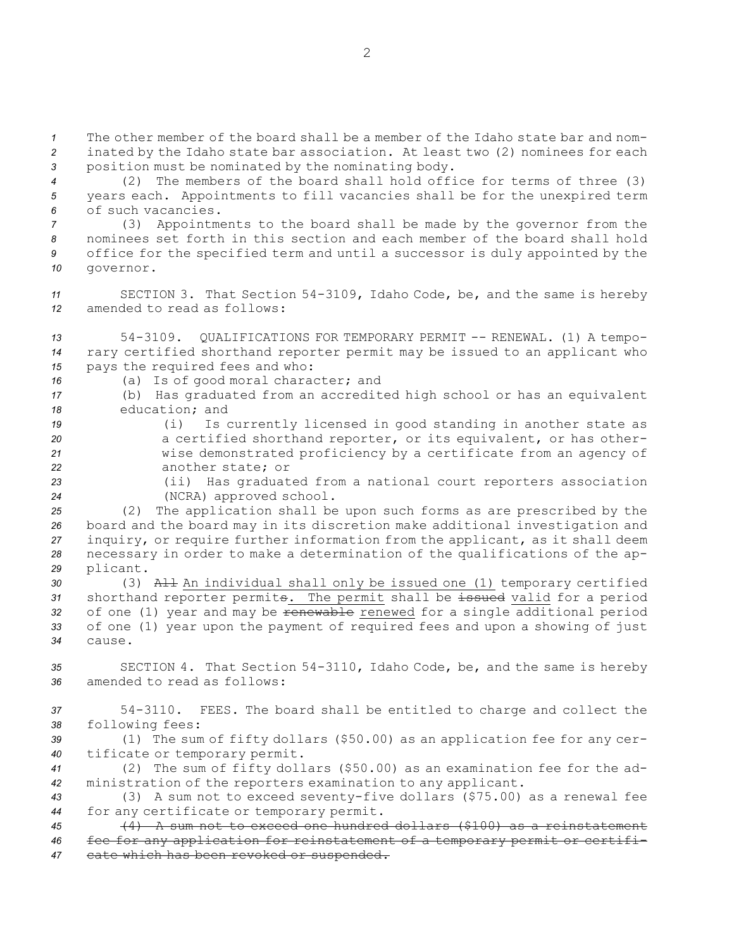*1* The other member of the board shall be a member of the Idaho state bar and nom-*<sup>2</sup>* inated by the Idaho state bar association. At least two (2) nominees for each *<sup>3</sup>* position must be nominated by the nominating body.

*<sup>4</sup>* (2) The members of the board shall hold office for terms of three (3) *<sup>5</sup>* years each. Appointments to fill vacancies shall be for the unexpired term *6* of such vacancies.

 (3) Appointments to the board shall be made by the governor from the nominees set forth in this section and each member of the board shall hold office for the specified term and until <sup>a</sup> successor is duly appointed by the governor.

*<sup>11</sup>* SECTION 3. That Section 54-3109, Idaho Code, be, and the same is hereby *12* amended to read as follows:

*<sup>13</sup>* 54-3109. QUALIFICATIONS FOR TEMPORARY PERMIT -- RENEWAL. (1) A tempo-*<sup>14</sup>* rary certified shorthand reporter permit may be issued to an applicant who *<sup>15</sup>* pays the required fees and who:

- *<sup>16</sup>* (a) Is of good moral character; and
- *<sup>17</sup>* (b) Has graduated from an accredited high school or has an equivalent *18* education; and
- *<sup>19</sup>* (i) Is currently licensed in good standing in another state as *<sup>20</sup>* <sup>a</sup> certified shorthand reporter, or its equivalent, or has other-*<sup>21</sup>* wise demonstrated proficiency by <sup>a</sup> certificate from an agency of *22* another state; or
- *<sup>23</sup>* (ii) Has graduated from <sup>a</sup> national court reporters association *<sup>24</sup>* (NCRA) approved school.
- *<sup>25</sup>* (2) The application shall be upon such forms as are prescribed by the *<sup>26</sup>* board and the board may in its discretion make additional investigation and *<sup>27</sup>* inquiry, or require further information from the applicant, as it shall deem *<sup>28</sup>* necessary in order to make <sup>a</sup> determination of the qualifications of the ap-*<sup>29</sup>* plicant.
- *<sup>30</sup>* (3) All An individual shall only be issued one (1) temporary certified *<sup>31</sup>* shorthand reporter permits. The permit shall be issued valid for <sup>a</sup> period 32 of one (1) year and may be <del>renewable</del> renewed for a single additional period *<sup>33</sup>* of one (1) year upon the payment of required fees and upon <sup>a</sup> showing of just *34* cause.
- *<sup>35</sup>* SECTION 4. That Section 54-3110, Idaho Code, be, and the same is hereby *36* amended to read as follows:
- *<sup>37</sup>* 54-3110. FEES. The board shall be entitled to charge and collect the *<sup>38</sup>* following fees:
- *<sup>39</sup>* (1) The sum of fifty dollars (\$50.00) as an application fee for any cer-*<sup>40</sup>* tificate or temporary permit.
- *<sup>41</sup>* (2) The sum of fifty dollars (\$50.00) as an examination fee for the ad-*<sup>42</sup>* ministration of the reporters examination to any applicant.
- *<sup>43</sup>* (3) <sup>A</sup> sum not to exceed seventy-five dollars (\$75.00) as <sup>a</sup> renewal fee *<sup>44</sup>* for any certificate or temporary permit.
- *<sup>45</sup>* (4) A sum not to exceed one hundred dollars (\$100) as <sup>a</sup> reinstatement *<sup>46</sup>* fee for any application for reinstatement of <sup>a</sup> temporary permit or certifi-*<sup>47</sup>* cate which has been revoked or suspended.